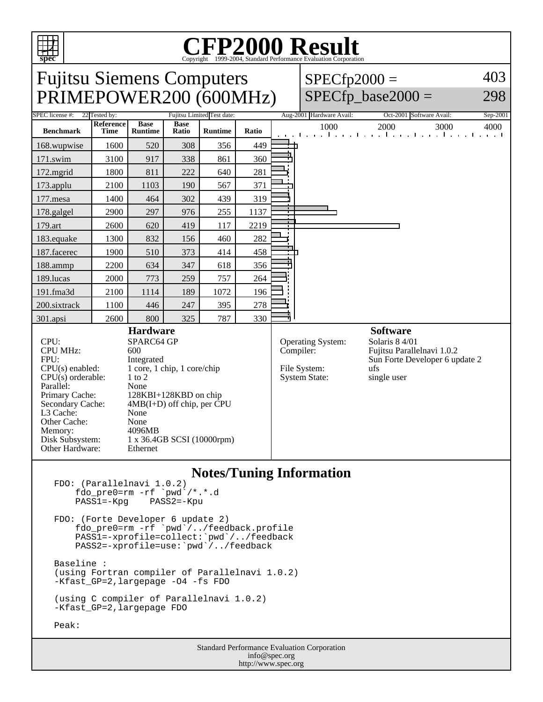

## Copyright ©1999-2004, Standard Performance Evaluation Corporation

Fujitsu Siemens Computers PRIMEPOWER200 (600MHz)  $SPECfp2000 =$ 403 298

## $SPECfp\_base2000 =$

| <b>Benchmark</b><br>168.wupwise<br>171.swim<br>172.mgrid<br>173.applu                                                                                                                                                                                                                                                                                                                                                                                      | Reference<br><b>Time</b><br>1600<br>3100<br>1800<br>2100<br>1400<br>2900 | <b>Base</b><br><b>Runtime</b><br>520<br>917<br>811<br>1103<br>464 | <b>Base</b><br>Ratio<br>308<br>338<br>222<br>190 | <b>Runtime</b><br>356<br>861<br>640 | Ratio<br>449<br>360<br>281                                                                                                                                                                        | 1000<br>2000<br>3000<br>4000<br>and the medical contract of a medical contract contract to |  |
|------------------------------------------------------------------------------------------------------------------------------------------------------------------------------------------------------------------------------------------------------------------------------------------------------------------------------------------------------------------------------------------------------------------------------------------------------------|--------------------------------------------------------------------------|-------------------------------------------------------------------|--------------------------------------------------|-------------------------------------|---------------------------------------------------------------------------------------------------------------------------------------------------------------------------------------------------|--------------------------------------------------------------------------------------------|--|
|                                                                                                                                                                                                                                                                                                                                                                                                                                                            |                                                                          |                                                                   |                                                  |                                     |                                                                                                                                                                                                   |                                                                                            |  |
|                                                                                                                                                                                                                                                                                                                                                                                                                                                            |                                                                          |                                                                   |                                                  |                                     |                                                                                                                                                                                                   |                                                                                            |  |
|                                                                                                                                                                                                                                                                                                                                                                                                                                                            |                                                                          |                                                                   |                                                  |                                     |                                                                                                                                                                                                   |                                                                                            |  |
|                                                                                                                                                                                                                                                                                                                                                                                                                                                            |                                                                          |                                                                   |                                                  |                                     |                                                                                                                                                                                                   |                                                                                            |  |
|                                                                                                                                                                                                                                                                                                                                                                                                                                                            |                                                                          |                                                                   |                                                  | 567                                 | 371                                                                                                                                                                                               |                                                                                            |  |
| 177.mesa                                                                                                                                                                                                                                                                                                                                                                                                                                                   |                                                                          |                                                                   | 302                                              | 439                                 | 319                                                                                                                                                                                               |                                                                                            |  |
| 178.galgel                                                                                                                                                                                                                                                                                                                                                                                                                                                 |                                                                          | 297                                                               | 976                                              | 255                                 | 1137                                                                                                                                                                                              | T.<br>т                                                                                    |  |
| 179.art                                                                                                                                                                                                                                                                                                                                                                                                                                                    | 2600                                                                     | 620                                                               | 419                                              | 117                                 | 2219                                                                                                                                                                                              | $\overline{\phantom{0}}$                                                                   |  |
| 183.equake                                                                                                                                                                                                                                                                                                                                                                                                                                                 | 1300                                                                     | 832                                                               | 156                                              | 460                                 | 282                                                                                                                                                                                               |                                                                                            |  |
| 187.facerec                                                                                                                                                                                                                                                                                                                                                                                                                                                | 1900                                                                     | 510                                                               | 373                                              | 414                                 | 458                                                                                                                                                                                               |                                                                                            |  |
| 188.ammp                                                                                                                                                                                                                                                                                                                                                                                                                                                   | 2200                                                                     | 634                                                               | 347                                              | 618                                 | 356                                                                                                                                                                                               |                                                                                            |  |
| 189.lucas                                                                                                                                                                                                                                                                                                                                                                                                                                                  | 2000                                                                     | 773                                                               | 259                                              | 757                                 | 264                                                                                                                                                                                               |                                                                                            |  |
| 191.fma3d                                                                                                                                                                                                                                                                                                                                                                                                                                                  | 2100                                                                     | 1114                                                              | 189                                              | 1072                                | 196                                                                                                                                                                                               |                                                                                            |  |
| 200.sixtrack                                                                                                                                                                                                                                                                                                                                                                                                                                               | 1100                                                                     | 446                                                               | 247                                              | 395                                 | 278                                                                                                                                                                                               |                                                                                            |  |
| 301.apsi                                                                                                                                                                                                                                                                                                                                                                                                                                                   | 2600                                                                     | 800                                                               | 325                                              | 787                                 | 330                                                                                                                                                                                               |                                                                                            |  |
| <b>Hardware</b><br>SPARC64 GP<br>CPU:<br><b>CPU MHz:</b><br>600<br>FPU:<br>Integrated<br>$CPU(s)$ enabled:<br>$1$ core, $1$ chip, $1$ core/chip<br>$1$ to $2$<br>$CPU(s)$ orderable:<br>Parallel:<br>None<br>Primary Cache:<br>128KBI+128KBD on chip<br>$4MB(I+D)$ off chip, per CPU<br>Secondary Cache:<br>L3 Cache:<br>None<br>Other Cache:<br>None<br>4096MB<br>Memory:<br>Disk Subsystem:<br>1 x 36.4GB SCSI (10000rpm)<br>Other Hardware:<br>Ethernet |                                                                          |                                                                   |                                                  |                                     | <b>Software</b><br>Solaris 8 4/01<br>Operating System:<br>Compiler:<br>Fujitsu Parallelnavi 1.0.2<br>Sun Forte Developer 6 update 2<br>File System:<br>ufs<br><b>System State:</b><br>single user |                                                                                            |  |

## **Notes/Tuning Information**

FDO: (Parallelnavi 1.0.2) fdo\_pre0=rm -rf `pwd`/\*.\*.d PASS1=-Kpg PASS2=-Kpu FDO: (Forte Developer 6 update 2) fdo\_pre0=rm -rf `pwd`/../feedback.profile PASS1=-xprofile=collect:`pwd`/../feedback PASS2=-xprofile=use:`pwd`/../feedback Baseline : (using Fortran compiler of Parallelnavi 1.0.2) -Kfast\_GP=2,largepage -O4 -fs FDO (using C compiler of Parallelnavi 1.0.2) -Kfast\_GP=2,largepage FDO Peak:

> Standard Performance Evaluation Corporation info@spec.org http://www.spec.org